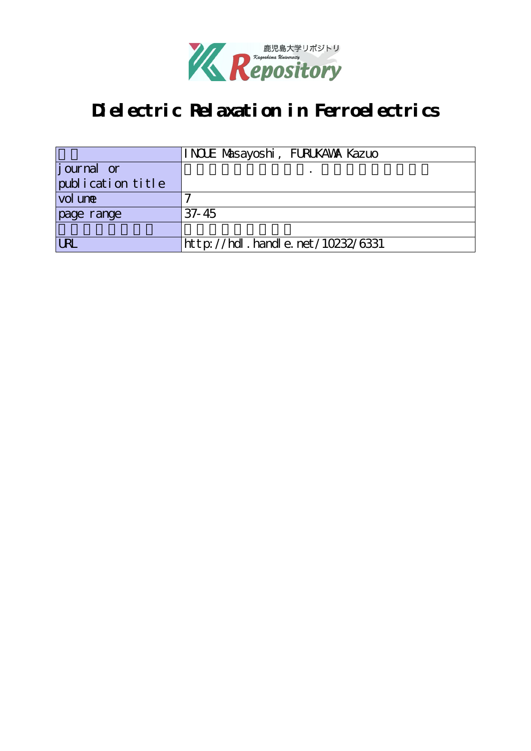

## **Dielectric Relaxation in Ferroelectrics**

|                    | INCLE Masayoshi, FURUKAWA Kazuo  |
|--------------------|----------------------------------|
| <i>j</i> ournal or |                                  |
| publication title  |                                  |
| vol une            |                                  |
| page range         | $37 - 45$                        |
|                    |                                  |
| l Ri               | http://hdl.handle.net/10232/6331 |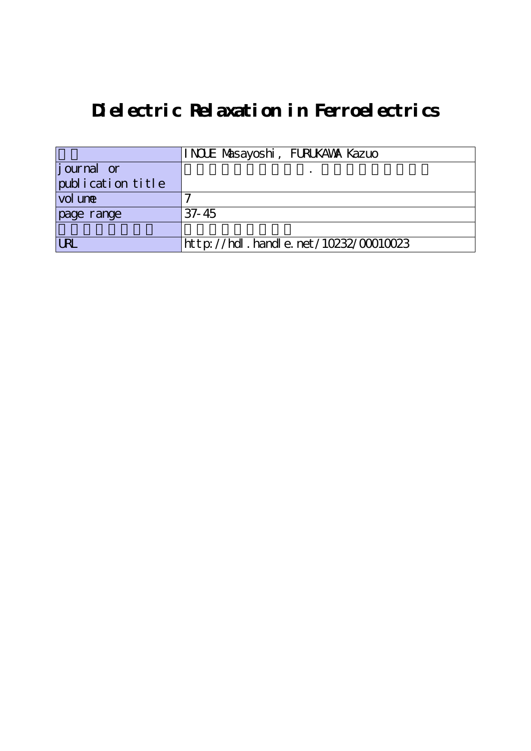# **Dielectric Relaxation in Ferroelectrics**

|                     | INCLE Masayoshi, FURUKAWA Kazuo      |
|---------------------|--------------------------------------|
| journal or          |                                      |
| publication title   |                                      |
| vol un <del>e</del> |                                      |
| page range          | $37 - 45$                            |
|                     |                                      |
| <b>LRL</b>          | http://hdl.handle.net/10232/00010023 |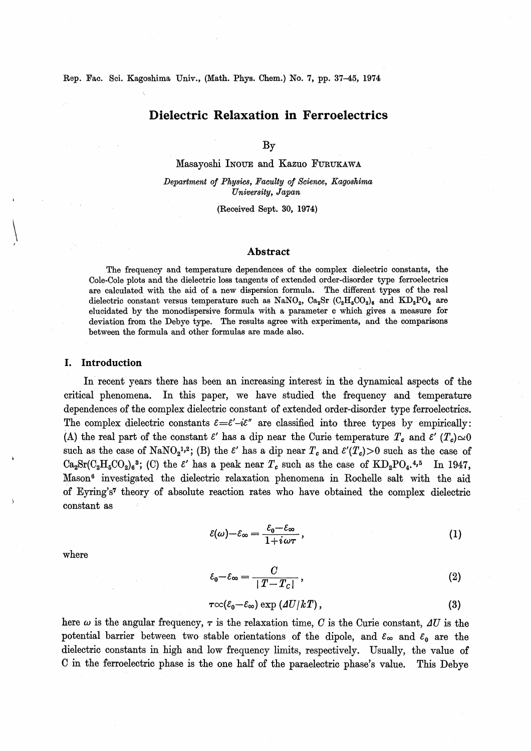Rep. Fac. Sci. Kagoshima Univ., (Math. Phys. Chem.) No. 7, pp. 37-45, 1974

## Dielectric Relaxation in Ferroelectrics

By

Masayoshi Inoue and Kazuo Furukawa

Department of Physics, Faculty of Science, Kagoshima University, Japan

(Received Sept. 30, 1974)

## Abstract

The frequency and temperature dependences of the complex dielectric constants, the Cole-Cole plots and the dielectric loss tangents of extended order-disorder type ferroelectrics are calculated with the aid of a new dispersion formula. The different types of the real dielectric constant versus temperature such as NaNO<sub>2</sub>, Ca<sub>2</sub>Sr (C<sub>2</sub>H<sub>5</sub>CO<sub>2</sub>)<sub>6</sub> and KD<sub>2</sub>PO<sub>4</sub> are elucidated by the monodispersive formula with a parameter c which gives a measure for deviation from the Debye type. The results agree with experiments, and the comparisons between the formula and other formulas are made also.

## I. Introduction

In recent years there has been an increasing interest in the dynamical aspects of the critical phenomena. In this paper, we have studied the frequency and temperature dependences of the complex dielectric constant of extended order-disorder type ferroelectrics. The complex dielectric constants  $\varepsilon = \varepsilon' - i\varepsilon''$  are classified into three types by empirically: (A) the real part of the constant  $\varepsilon'$  has a dip near the Curie temperature  $T_c$  and  $\varepsilon'$   $(T_c) \simeq 0$ such as the case of NaNO<sub>2</sub><sup>1,2</sup>; (B) the  $\varepsilon'$  has a dip near  $T_c$  and  $\varepsilon'(T_c) > 0$  such as the case of  $Ca_2Sr(C_2H_5CO_2)_6^3$ ; (C) the  $\epsilon'$  has a peak near  $T_c$  such as the case of  $KD_2PO_4.^{4,5}$  In 1947, Mason<sup>6</sup> investigated the dielectric relaxation phenomena in Rochelle salt with the aid of Eyring's7 theory of absolute reaction rates who have obtained the complex dielectric constant as

> $\mathcal{E}(\omega)-\mathcal{E}_{\infty}=\frac{\mathcal{E}_0-\mathcal{E}_{\infty}}{1-\omega}$  $1+i\omega\tau$ (1)

$$
\varepsilon_0 - \varepsilon_\infty = \frac{C}{|T - T_c|},\tag{2}
$$

$$
\tau \infty (\varepsilon_0 - \varepsilon_\infty) \exp \left( \Delta U / kT \right), \tag{3}
$$

here  $\omega$  is the angular frequency,  $\tau$  is the relaxation time, C is the Curie constant,  $\Delta U$  is the potential barrier between two stable orientations of the dipole, and  $\varepsilon_{\infty}$  and  $\varepsilon_{0}$  are the dielectric constants in high and low frequency limits, respectively. Usually, the value of C in the ferroelectric phase is the one half of the paraelectric phase's value. This Debye

where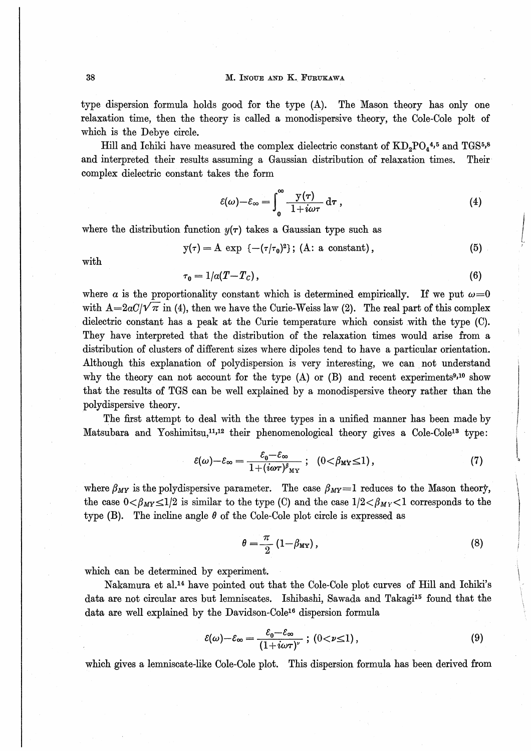## 38 M. INOUE AND K. FURUKAWA

type dispersion formula holds good for the type (A). The Mason theory has only one relaxation time, then the theory is called a monodispersive theory, the Cole-Cole polt of which is the Debye circle.

Hill and Ichiki have measured the complex dielectric constant of  $KD_2PO_4^{4,5}$  and  $TGS^{5,8}$ and interpreted their results assuming a Gaussian distribution of relaxation times. Their complex dielectric constant takes the form

$$
\varepsilon(\omega)-\varepsilon_{\infty}=\int_{0}^{\infty}\frac{y(\tau)}{1+i\omega\tau}\,\mathrm{d}\tau\,,\tag{4}
$$

where the distribution function  $y(\tau)$  takes a Gaussian type such as

 $y(\tau) = A \exp \{-(\tau/\tau_0)^2\};$  (A: a constant),  $(5)$ 

with

$$
\tau_0 = 1/a(T - T_c),\tag{6}
$$

where a is the proportionality constant which is determined empirically. If we put  $\omega=0$ with  $A=2aC/\sqrt{\pi}$  in (4), then we have the Curie-Weiss law (2). The real part of this complex dielectric constant has a peak at the Curie temperature which, consist with the type (C). They have interpreted that the distribution of the relaxation times would arise from a distribution of clusters of different sizes where dipoles tend to have a particular orientation. Although this explanation of polydispersion is very interesting, we can not understand why the theory can not account for the type  $(A)$  or  $(B)$  and recent experiments<sup>9,10</sup> show that the results of TGS can be well explained by a monodispersive theory rather than the polydispersive theory.

The first attempt to deal with the three types in a unified manner has been made by Matsubara and Yoshimitsu,<sup>11,12</sup> their phenomenological theory gives a Cole-Cole<sup>13</sup> type

$$
\varepsilon(\omega)-\varepsilon_{\infty}=\frac{\varepsilon_{0}-\varepsilon_{\infty}}{1+(i\omega\tau)^{\beta}{}_{\mathbf{M}\mathbf{Y}}}\;;\;\;(0<\beta_{\mathbf{M}\mathbf{Y}}\leq 1)\,,\tag{7}
$$

where  $\beta_{MY}$  is the polydispersive parameter. The case  $\beta_{MY}=1$  reduces to the Mason theory, the case  $0 \lt \beta_{MY} \leq 1/2$  is similar to the type (C) and the case  $1/2 \lt \beta_{MY} \lt 1$  corresponds to the type (B). The incline angle  $\theta$  of the Cole-Cole plot circle is expressed as

$$
\theta = \frac{\pi}{2} \left( 1 - \beta_{\text{MV}} \right),\tag{8}
$$

I-I-- -,〜- ー・.′ 篭'E?

 $\ddot{\phantom{a}}$ 

Jも1-1-叫夢 - - -4--

which can be determined by experiment.

Nakamura et al.<sup>14</sup> have pointed out that the Cole-Cole plot curves of Hill and Ichiki's data are not circular arcs but lemniscates. Ishibashi, Sawada and Takagi15 found that the data are well explained by the Davidson-Cole16 dispersion formula

$$
\varepsilon(\omega)-\varepsilon_{\infty}=\frac{\varepsilon_0-\varepsilon_{\infty}}{(1+i\omega\tau)^{\nu}}\;;\;(0<\nu\leq 1)\,,\tag{9}
$$

which gives a lemniscate-like Cole-Cole plot. This dispersion formula has been derived from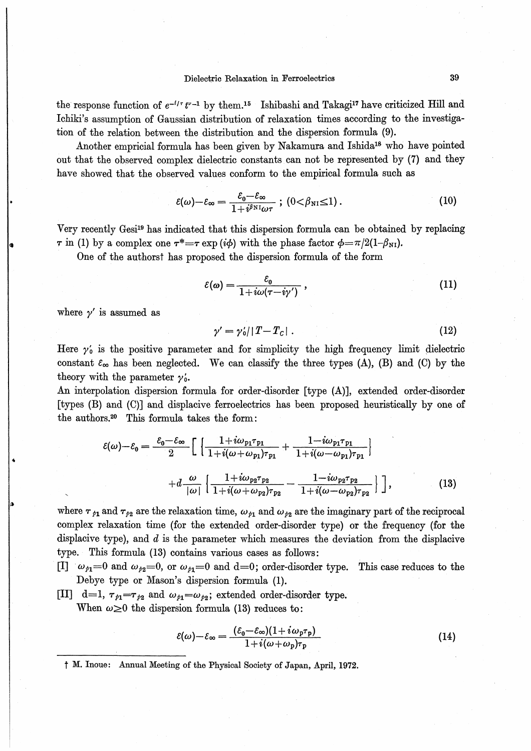the response function of  $e^{-t/\tau} t^{\nu-1}$  by them.<sup>15</sup> Ishibashi and Takagi<sup>17</sup> have criticized Hill and Ichiki's assumption of Gaussian distribution of relaxation times according to the investigation of the relation between the distribution and the dispersion formula (9).

Another empricial formula has been given by Nakamura and Ishida<sup>18</sup> who have pointed out that the observed complex dielectric constants can not be represented by (7) and they have showed that the observed values conform to the empirical formula such as

$$
\varepsilon(\omega)-\varepsilon_{\infty}=\frac{\varepsilon_{0}-\varepsilon_{\infty}}{1+i^{\beta_{\rm NI}}\omega\tau};\ (0<\beta_{\rm NI}\leq 1)\,.
$$
 (10)

Very recently Gesi<sup>19</sup> has indicated that this dispersion formula can be obtained by replacing  $\tau$  in (1) by a complex one  $\tau^* = \tau \exp(i\phi)$  with the phase factor  $\phi = \pi/2(1-\beta_{\text{NL}})$ .

One of the authorst has proposed the dispersion formula of the form

$$
\varepsilon(\omega) = \frac{\varepsilon_0}{1 + i\omega(\tau - i\gamma')} \,, \tag{11}
$$

where  $\nu'$  is assumed as

$$
\gamma' = \gamma_0' ||T - T_c| \tag{12}
$$

Here  $\gamma_0$  is the positive parameter and for simplicity the high frequency limit dielectric constant  $\varepsilon_{\infty}$  has been neglected. We can classify the three types (A), (B) and (C) by the theory with the parameter  $\gamma'$ .

An interpolation dispersion formula for order-disorder [type (A)], extended order-disorder [types (B) and (C)] and displacive ferroelectrics has been proposed heuristically by one of the authors.<sup>20</sup> This formula takes the form:

$$
\varepsilon(\omega) - \varepsilon_0 = \frac{\varepsilon_0 - \varepsilon_{\infty}}{2} \left[ \left\{ \frac{1 + i\omega_{p_1}\tau_{p_1}}{1 + i(\omega + \omega_{p_1})\tau_{p_1}} + \frac{1 - i\omega_{p_1}\tau_{p_1}}{1 + i(\omega - \omega_{p_1})\tau_{p_1}} \right\} + d \frac{\omega}{|\omega|} \left\{ \frac{1 + i\omega_{p_2}\tau_{p_2}}{1 + i(\omega + \omega_{p_2})\tau_{p_2}} - \frac{1 - i\omega_{p_2}\tau_{p_2}}{1 + i(\omega - \omega_{p_2})\tau_{p_2}} \right\} \right],
$$
(13)

where  $\tau_{p1}$  and  $\tau_{p2}$  are the relaxation time,  $\omega_{p1}$  and  $\omega_{p2}$  are the imaginary part of the reciprocal complex relaxation time (for the extended order-disorder type) or the frequency (for the displacive type), and  $d$  is the parameter which measures the deviation from the displacive type. This formula (13) contains various cases as follows:

- [I]  $\omega_{p_1}=0$  and  $\omega_{p_2}=0$ , or  $\omega_{p_1}=0$  and  $d=0$ ; order-disorder type. This case reduces to the Debye type or Mason's dispersion formula (1).
- [II] d=1,  $\tau_{p_1} = \tau_{p_2}$  and  $\omega_{p_1} = \omega_{p_2}$ ; extended order-disorder type. When  $\omega \geq 0$  the dispersion formula (13) reduces to:

$$
\varepsilon(\omega) - \varepsilon_{\infty} = \frac{(\varepsilon_0 - \varepsilon_{\infty})(1 + i\omega_p \tau_p)}{1 + i(\omega + \omega_p)\tau_p}
$$
(14)

<sup>†</sup> M. Inoue: Annual Meeting of the Physical Society of Japan, April, 1972.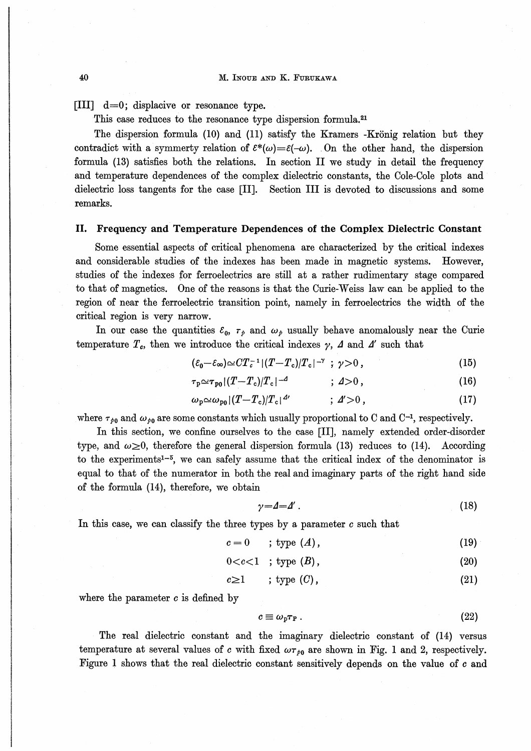[III]  $d=0$ ; displacive or resonance type.

This case reduces to the resonance type dispersion formula.<sup>21</sup>

The dispersion formula (10) and (11) satisfy the Kramers -Krönig relation but they contradict with a symmerty relation of  $\varepsilon^*(\omega) = \varepsilon(-\omega)$ . On the other hand, the dispersion formula (13) satisfies both the relations. In section II we study in detail the frequency and temperature dependences of the complex dielectric constants, the Cole-Cole plots and dielectric loss tangents for the case [II]. Section III is devoted to discussions and some remarks.

#### Frequency and Temperature Dependences of the Complex Dielectric Constant П.

Some essential aspects of critical phenomena are characterized by the critical indexes and considerable studies of the indexes has been made in magnetic systems. However, studies of the indexes for ferroelectrics are still at a rather rudimentary stage compared to that of magnetics. One of the reasons is that the Curie-Weiss law can be applied to the region of near the ferroelectric transition point, namely in ferroelectrics the width of the critical region is very narrow.

In our case the quantities  $\varepsilon_0$ ,  $\tau_p$  and  $\omega_p$  usually behave anomalously near the Curie temperature  $T_c$ , then we introduce the critical indexes  $\gamma$ ,  $\Delta$  and  $\Delta'$  such that

$$
(\varepsilon_0 - \varepsilon_\infty) \simeq C T_c^{-1} |(T - T_c)/T_c|^{-\gamma} ; \gamma > 0, \qquad (15)
$$

$$
\tau_{\rm p} \simeq \tau_{\rm p0} |(T - T_{\rm c})/T_{\rm c}|^{-4} \qquad ; \, 4 > 0 \,, \tag{16}
$$

$$
\omega_{\mathbf{p}} \simeq \omega_{\mathbf{p}_0} |(T - T_{\mathbf{c}})| T_{\mathbf{c}}|^{4\prime} \qquad ; \, \mathbf{A} \geq 0 \,, \tag{17}
$$

where  $\tau_{\rho_0}$  and  $\omega_{\rho_0}$  are some constants which usually proportional to C and C<sup>-1</sup>, respectively.

In this section, we confine ourselves to the case [II], namely extended order-disorder type, and  $\omega \ge 0$ , therefore the general dispersion formula (13) reduces to (14). According to the experiments<sup>1-5</sup>, we can safely assume that the critical index of the denominator is equal to that of the numerator in both the real and imaginary parts of the right hand side of the formula (14), therefore, we obtain

$$
\gamma = 4 = 4' \tag{18}
$$

In this case, we can classify the three types by a parameter  $c$  such that

$$
c = 0 \qquad ; \text{ type } (A), \tag{19}
$$

$$
0 < c < 1 \quad ; \text{ type } (B), \tag{20}
$$

$$
c \geq 1 \qquad ; \text{ type } (C), \tag{21}
$$

where the parameter  $c$  is defined by

$$
c \equiv \omega_{\rm p} \tau_{\rm P} \,. \tag{22}
$$

The real dielectric constant and the imaginary dielectric constant of (14) versus temperature at several values of c with fixed  $\omega\tau_{b0}$  are shown in Fig. 1 and 2, respectively. Figure 1 shows that the real dielectric constant sensitively depends on the value of c and

40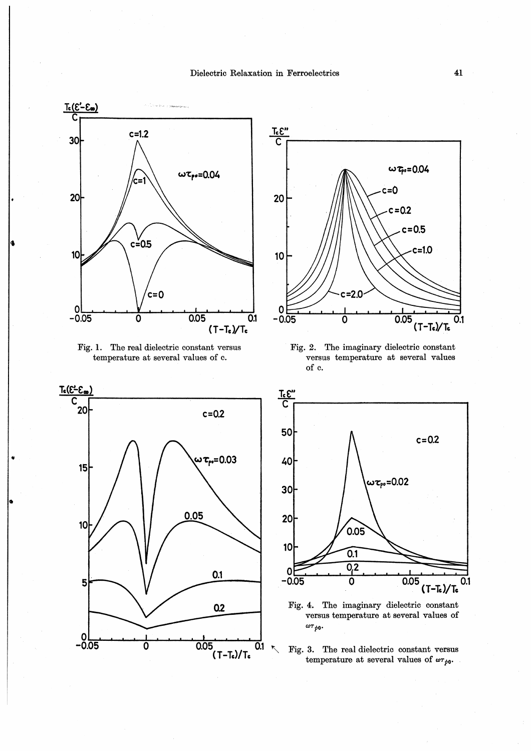

Fig. 1. The real dielectric constant versus temperature at several values of c.





Fig. 2. The imaginary dielectric constant versus temperature at several values of c.



Fig. 4. The imaginary dielectric constant versus temperature at several values of  $\omega\tau_{\hat{p}\mathbf{0}}$ .

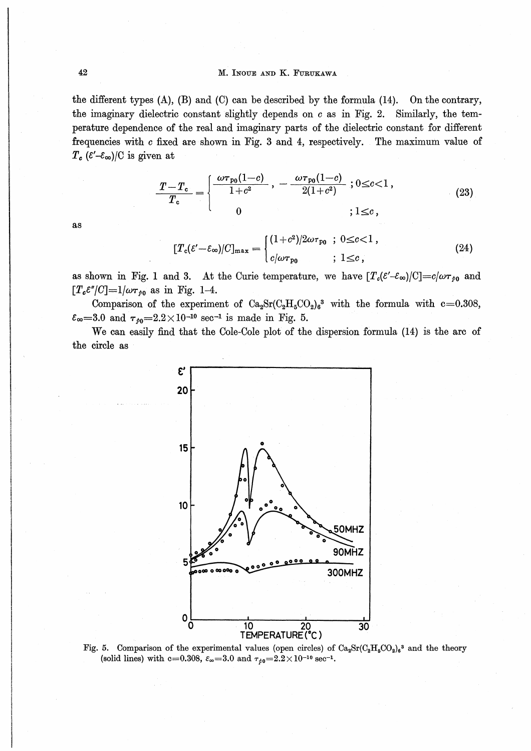## M. INOUE AND K. FURUKAWA

the different types  $(A)$ ,  $(B)$  and  $(C)$  can be described by the formula  $(14)$ . On the contrary, the imaginary dielectric constant slightly depends on  $c$  as in Fig. 2. Similarly, the temperature dependence of the real and imaginary parts of the dielectric constant for different frequencies with c fixed are shown in Fig. 3 and 4, respectively. The maximum value of  $T_c$  ( $\epsilon'$ - $\varepsilon_{\infty}$ )/C is given at

$$
\frac{T-T_c}{T_c} = \begin{cases} \frac{\omega \tau_{\rm p0}(1-c)}{1+c^2} , -\frac{\omega \tau_{\rm p0}(1-c)}{2(1+c^2)} ; 0 \le c < 1 ,\\ 0 & ; 1 \le c , \end{cases}
$$
(23)

as

$$
[T_c(\varepsilon'-\varepsilon_\infty)/C]_{\max} = \begin{cases} (1+c^2)/2\omega\tau_{p_0} & ; 0 \leq c < 1, \\ c/\omega\tau_{p_0} & ; 1 \leq c, \end{cases}
$$
 (24)

as shown in Fig. 1 and 3. At the Curie temperature, we have  $[T_c(\mathcal{E}'-\mathcal{E}_{\infty})/C]=c/\omega\tau_{p0}$  and  $[T_e \varepsilon''/C]=1/\omega \tau_{b0}$  as in Fig. 1-4.

Comparison of the experiment of  $Ca_2Sr(C_2H_5CO_2)_6^3$  with the formula with c=0.308,  $\varepsilon_{\infty} = 3.0$  and  $\tau_{\neq 0} = 2.2 \times 10^{-10}$  sec<sup>-1</sup> is made in Fig. 5.

We can easily find that the Cole-Cole plot of the dispersion formula (14) is the arc of the circle as



Fig. 5. Comparison of the experimental values (open circles) of  $Ca_2Sr(C_2H_5CO_2)_6{}^3$  and the theory (solid lines) with c=0.308,  $\varepsilon_{\infty}$ =3.0 and  $\tau_{\neq 0}$ =2.2×10<sup>-10</sup> sec<sup>-1</sup>.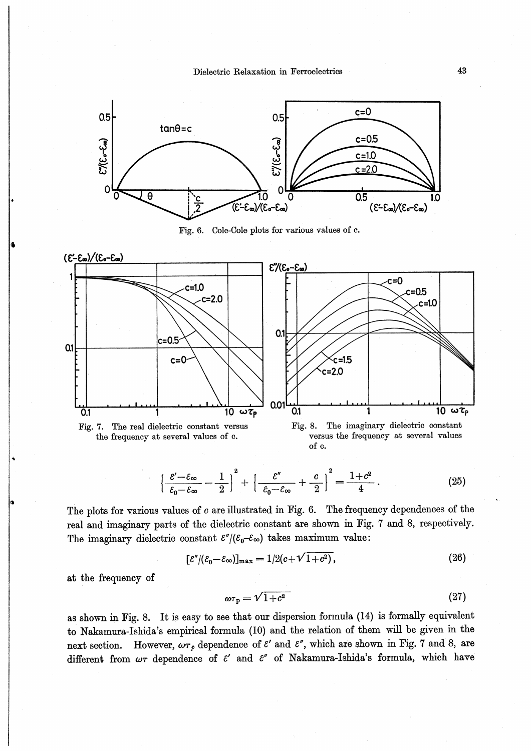

Fig. 6. Cole-Cole plots for various values of c.



$$
\left\{\frac{\varepsilon'-\varepsilon_{\infty}}{\varepsilon_{0}-\varepsilon_{\infty}}-\frac{1}{2}\right\}^{2}+\left\{\frac{\varepsilon''}{\varepsilon_{0}-\varepsilon_{\infty}}+\frac{c}{2}\right\}^{2}=\frac{1+c^{2}}{4}.
$$
\n(25)

The plots for various values of  $c$  are illustrated in Fig. 6. The frequency dependences of the real and imaginary parts of the dielectric constant are shown in Fig. 7 and 8, respectively. The imaginary dielectric constant  $\frac{\varepsilon''}{\varepsilon_0 - \varepsilon_\infty}$  takes maximum value:

$$
[\varepsilon''/(\varepsilon_0 - \varepsilon_\infty)]_{\text{max}} = 1/2(c + \sqrt{1 + c^2}),\tag{26}
$$

at the frequency of

$$
\omega \tau_{\rm p} = \sqrt{1 + c^2} \tag{27}
$$

as shown in Fig. 8. It is easy to see that our dispersion formula (14) is formally equivalent to Nakamura-Ishida's empirical formula (10) and the relation of them will be given in the However,  $\omega\tau_p$  dependence of  $\varepsilon'$  and  $\varepsilon''$ , which are shown in Fig. 7 and 8, are next section. different from  $\omega\tau$  dependence of  $\varepsilon'$  and  $\varepsilon''$  of Nakamura-Ishida's formula, which have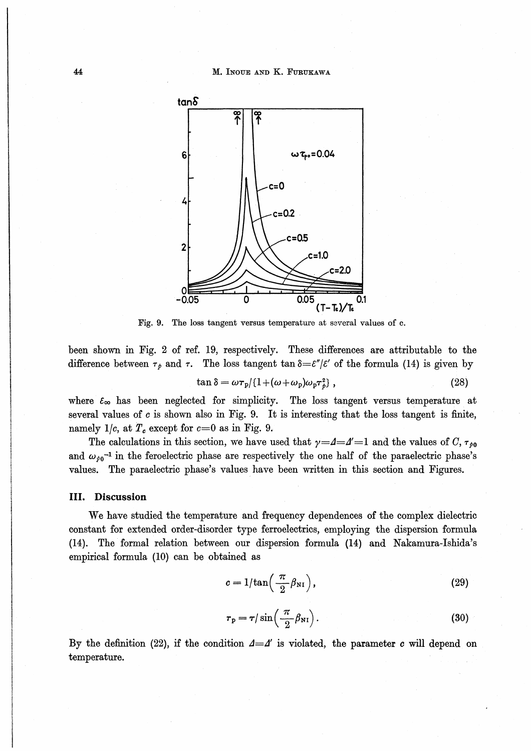

Fig. 9. The loss tangent versus temperature at several values of c.

been shown in Fig. 2 of ref. 19, respectively. These differences are attributable to the difference between  $\tau_p$  and  $\tau$ . The loss tangent  $\tan \delta = \varepsilon''/\varepsilon'$  of the formula (14) is given by

$$
\tan \delta = \omega \tau_p / (1 + (\omega + \omega_p)\omega_p \tau_p^2) \,, \tag{28}
$$

where  $\varepsilon_{\infty}$  has been neglected for simplicity. The loss tangent versus temperature at several values of  $c$  is shown also in Fig. 9. It is interesting that the loss tangent is finite, namely 1/c, at  $T_c$  except for  $c=0$  as in Fig. 9.

The calculations in this section, we have used that  $\gamma = 4 = 4$  and the values of C,  $\tau_{\rho 0}$ and  $\omega_{\rho 0}$ <sup>-1</sup> in the feroelectric phase are respectively the one half of the paraelectric phase's values. The paraelectric phase's values have been written in this section and Figures.

## III. Discussion

We have studied the temperature and frequency dependences of the complex dielectric constant for extended order-disorder type ferroelectrics, employing the dispersion formula (14). The formal relation between our dispersion formula (14) and Nakamura-Ishida's empirical formula (10) can be obtained as

$$
c = 1/\tan\left(\frac{\pi}{2}\beta_{\rm NI}\right),\tag{29}
$$

$$
\tau_{\rm p} = \tau / \sin\left(\frac{\pi}{2} \beta_{\rm NI}\right). \tag{30}
$$

By the definition (22), if the condition  $\Delta = \Delta'$  is violated, the parameter c will depend on temperature.